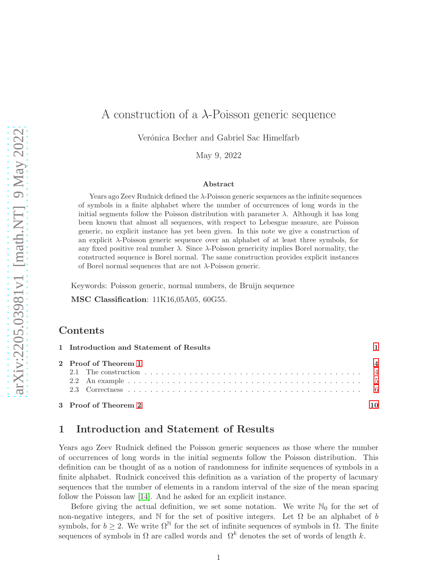# A construction of a  $\lambda$ -Poisson generic sequence

Verónica Becher and Gabriel Sac Himelfarb

May 9, 2022

#### Abstract

Years ago Zeev Rudnick defined the λ-Poisson generic sequences as the infinite sequences of symbols in a finite alphabet where the number of occurrences of long words in the initial segments follow the Poisson distribution with parameter  $\lambda$ . Although it has long been known that almost all sequences, with respect to Lebesgue measure, are Poisson generic, no explicit instance has yet been given. In this note we give a construction of an explicit λ-Poisson generic sequence over an alphabet of at least three symbols, for any fixed positive real number  $\lambda$ . Since  $\lambda$ -Poisson genericity implies Borel normality, the constructed sequence is Borel normal. The same construction provides explicit instances of Borel normal sequences that are not  $\lambda$ -Poisson generic.

Keywords: Poisson generic, normal numbers, de Bruijn sequence

MSC Classification: 11K16,05A05, 60G55.

### Contents

| 1 Introduction and Statement of Results |  |
|-----------------------------------------|--|
| 2 Proof of Theorem 1                    |  |
|                                         |  |
|                                         |  |
|                                         |  |
| 3 Proof of Theorem 2                    |  |

## <span id="page-0-0"></span>1 Introduction and Statement of Results

Years ago Zeev Rudnick defined the Poisson generic sequences as those where the number of occurrences of long words in the initial segments follow the Poisson distribution. This definition can be thought of as a notion of randomness for infinite sequences of symbols in a finite alphabet. Rudnick conceived this definition as a variation of the property of lacunary sequences that the number of elements in a random interval of the size of the mean spacing follow the Poisson law [\[14\]](#page-12-0). And he asked for an explicit instance.

Before giving the actual definition, we set some notation. We write  $\mathbb{N}_0$  for the set of non-negative integers, and  $\mathbb N$  for the set of positive integers. Let  $\Omega$  be an alphabet of b symbols, for  $b \geq 2$ . We write  $\Omega^{\mathbb{N}}$  for the set of infinite sequences of symbols in  $\Omega$ . The finite sequences of symbols in  $\Omega$  are called words and  $\Omega^k$  denotes the set of words of length k.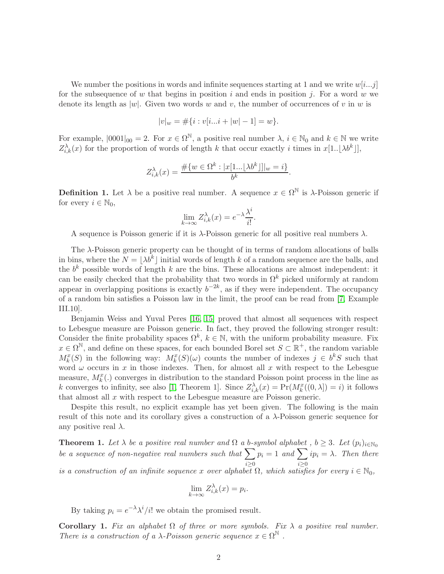We number the positions in words and infinite sequences starting at 1 and we write  $w[i...j]$ for the subsequence of w that begins in position i and ends in position j. For a word w we denote its length as  $|w|$ . Given two words w and v, the number of occurrences of v in w is

$$
|v|_w = \#\{i : v[i...i + |w| - 1] = w\}.
$$

For example,  $|0001|_{00} = 2$ . For  $x \in \Omega^{\mathbb{N}}$ , a positive real number  $\lambda, i \in \mathbb{N}_0$  and  $k \in \mathbb{N}$  we write  $Z_{i,k}^{\lambda}(x)$  for the proportion of words of length k that occur exactly i times in  $x[1..\lfloor \lambda b^k \rfloor]$ ,

$$
Z_{i,k}^{\lambda}(x) = \frac{\#\{w \in \Omega^k : |x[1...|\lambda b^k]| | w = i\}}{b^k}.
$$

**Definition 1.** Let  $\lambda$  be a positive real number. A sequence  $x \in \Omega^{\mathbb{N}}$  is  $\lambda$ -Poisson generic if for every  $i \in \mathbb{N}_0$ ,

$$
\lim_{k \to \infty} Z_{i,k}^{\lambda}(x) = e^{-\lambda} \frac{\lambda^i}{i!}.
$$

A sequence is Poisson generic if it is  $\lambda$ -Poisson generic for all positive real numbers  $\lambda$ .

The  $\lambda$ -Poisson generic property can be thought of in terms of random allocations of balls in bins, where the  $N = \lfloor \lambda b^k \rfloor$  initial words of length k of a random sequence are the balls, and the  $b^k$  possible words of length k are the bins. These allocations are almost independent: it can be easily checked that the probability that two words in  $\Omega^k$  picked uniformly at random appear in overlapping positions is exactly  $b^{-2k}$ , as if they were independent. The occupancy of a random bin satisfies a Poisson law in the limit, the proof can be read from [\[7,](#page-11-0) Example III.10].

Benjamin Weiss and Yuval Peres [\[16,](#page-12-1) [15\]](#page-12-2) proved that almost all sequences with respect to Lebesgue measure are Poisson generic. In fact, they proved the following stronger result: Consider the finite probability spaces  $\Omega^k$ ,  $k \in \mathbb{N}$ , with the uniform probability measure. Fix  $x \in \Omega^{\mathbb{N}}$ , and define on these spaces, for each bounded Borel set  $S \subset \mathbb{R}^+$ , the random variable  $M_k^x(S)$  in the following way:  $M_k^x(S)(\omega)$  counts the number of indexes  $j \in b^kS$  such that word  $\omega$  occurs in x in those indexes. Then, for almost all x with respect to the Lebesgue measure,  $M_k^x(.)$  converges in distribution to the standard Poisson point process in the line as k converges to infinity, see also [\[1,](#page-11-1) Theorem 1]. Since  $Z_{i,k}^{\lambda}(x) = Pr(M_k^x((0,\lambda]) = i)$  it follows that almost all  $x$  with respect to the Lebesgue measure are Poisson generic.

Despite this result, no explicit example has yet been given. The following is the main result of this note and its corollary gives a construction of a λ-Poisson generic sequence for any positive real  $\lambda$ .

<span id="page-1-0"></span>**Theorem 1.** Let  $\lambda$  be a positive real number and  $\Omega$  a b-symbol alphabet ,  $b \geq 3$ . Let  $(p_i)_{i \in \mathbb{N}_0}$ *be a sequence of non-negative real numbers such that*  $\sum$  $i \geq 0$  $p_i = 1$  and  $\sum$  $i \geq 0$  $ip_i = \lambda$ . Then there

*is a construction of an infinite sequence* x *over alphabet*  $\Omega$ *, which satisfies for every*  $i \in \mathbb{N}_0$ *,* 

$$
\lim_{k \to \infty} Z_{i,k}^{\lambda}(x) = p_i.
$$

By taking  $p_i = e^{-\lambda} \lambda^i / i!$  we obtain the promised result.

Corollary 1. Fix an alphabet  $\Omega$  of three or more symbols. Fix  $\lambda$  a positive real number. *There is a construction of a*  $\lambda$ -Poisson generic sequence  $x \in \Omega^{\mathbb{N}}$ .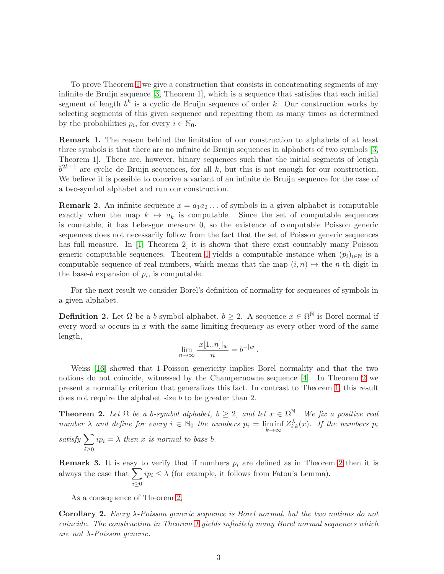To prove Theorem [1](#page-1-0) we give a construction that consists in concatenating segments of any infinite de Bruijn sequence [\[3,](#page-11-2) Theorem 1], which is a sequence that satisfies that each initial segment of length  $b^k$  is a cyclic de Bruijn sequence of order k. Our construction works by selecting segments of this given sequence and repeating them as many times as determined by the probabilities  $p_i$ , for every  $i \in \mathbb{N}_0$ .

<span id="page-2-1"></span>**Remark 1.** The reason behind the limitation of our construction to alphabets of at least three symbols is that there are no infinite de Bruijn sequences in alphabets of two symbols [\[3,](#page-11-2) Theorem 1]. There are, however, binary sequences such that the initial segments of length  $b^{2k+1}$  are cyclic de Bruijn sequences, for all k, but this is not enough for our construction. We believe it is possible to conceive a variant of an infinite de Bruijn sequence for the case of a two-symbol alphabet and run our construction.

**Remark 2.** An infinite sequence  $x = a_1 a_2 \dots$  of symbols in a given alphabet is computable exactly when the map  $k \mapsto a_k$  is computable. Since the set of computable sequences is countable, it has Lebesgue measure 0, so the existence of computable Poisson generic sequences does not necessarily follow from the fact that the set of Poisson generic sequences has full measure. In [\[1,](#page-11-1) Theorem 2] it is shown that there exist countably many Poisson generic computable sequences. Theorem [1](#page-1-0) yields a computable instance when  $(p_i)_{i\in\mathbb{N}}$  is a computable sequence of real numbers, which means that the map  $(i, n) \mapsto$  the n-th digit in the base- $b$  expansion of  $p_i$ , is computable.

For the next result we consider Borel's definition of normality for sequences of symbols in a given alphabet.

**Definition 2.** Let  $\Omega$  be a b-symbol alphabet,  $b \geq 2$ . A sequence  $x \in \Omega^{\mathbb{N}}$  is Borel normal if every word  $w$  occurs in  $x$  with the same limiting frequency as every other word of the same length,

$$
\lim_{n \to \infty} \frac{|x[1..n]|_w}{n} = b^{-|w|}.
$$

Weiss [\[16\]](#page-12-1) showed that 1-Poisson genericity implies Borel normality and that the two notions do not coincide, witnessed by the Champernowne sequence [\[4\]](#page-11-3). In Theorem [2](#page-2-0) we present a normality criterion that generalizes this fact. In contrast to Theorem [1,](#page-1-0) this result does not require the alphabet size b to be greater than 2.

<span id="page-2-0"></span>**Theorem 2.** Let  $\Omega$  be a b-symbol alphabet,  $b \geq 2$ , and let  $x \in \Omega^{\mathbb{N}}$ . We fix a positive real *number*  $\lambda$  *and define for every*  $i \in \mathbb{N}_0$  *the numbers*  $p_i = \liminf_{k \to \infty} Z_{i,k}^{\lambda}(x)$ *. If the numbers*  $p_i$ 

*satisfy* X  $i \geq 0$  $ip_i = \lambda$  *then* x *is normal to base b.* 

**Remark 3.** It is easy to verify that if numbers  $p_i$  are defined as in Theorem [2](#page-2-0) then it is always the case that  $\sum$  $i \geq 0$  $ip_i \leq \lambda$  (for example, it follows from Fatou's Lemma).

As a consequence of Theorem [2,](#page-2-0)

Corollary 2. *Every* λ*-Poisson generic sequence is Borel normal, but the two notions do not coincide. The construction in Theorem [1](#page-1-0) yields infinitely many Borel normal sequences which are not* λ*-Poisson generic.*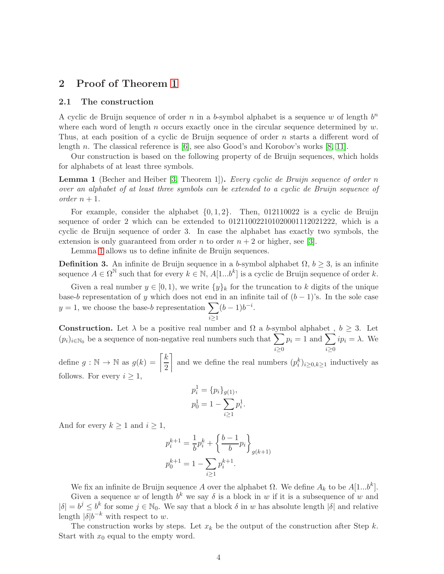# <span id="page-3-1"></span><span id="page-3-0"></span>2 Proof of Theorem [1](#page-1-0)

#### 2.1 The construction

A cyclic de Bruijn sequence of order  $n$  in a b-symbol alphabet is a sequence w of length  $b^n$ where each word of length n occurs exactly once in the circular sequence determined by  $w$ . Thus, at each position of a cyclic de Bruijn sequence of order n starts a different word of length n. The classical reference is [\[6\]](#page-11-4), see also Good's and Korobov's works [\[8,](#page-12-3) [11\]](#page-12-4).

Our construction is based on the following property of de Bruijn sequences, which holds for alphabets of at least three symbols.

<span id="page-3-2"></span>Lemma 1 (Becher and Heiber [\[3,](#page-11-2) Theorem 1]). *Every cyclic de Bruijn sequence of order* n *over an alphabet of at least three symbols can be extended to a cyclic de Bruijn sequence of order*  $n + 1$ *.* 

For example, consider the alphabet  $\{0, 1, 2\}$ . Then, 012110022 is a cyclic de Bruijn sequence of order 2 which can be extended to 012110022101020001112021222, which is a cyclic de Bruijn sequence of order 3. In case the alphabet has exactly two symbols, the extension is only guaranteed from order n to order  $n + 2$  or higher, see [\[3\]](#page-11-2).

Lemma [1](#page-3-2) allows us to define infinite de Bruijn sequences.

**Definition 3.** An infinite de Bruijn sequence in a b-symbol alphabet  $\Omega$ ,  $b \geq 3$ , is an infinite sequence  $A \in \Omega^{\mathbb{N}}$  such that for every  $k \in \mathbb{N}$ ,  $A[1...b^k]$  is a cyclic de Bruijn sequence of order k.

Given a real number  $y \in [0, 1)$ , we write  $\{y\}_k$  for the truncation to k digits of the unique base-b representation of y which does not end in an infinite tail of  $(b-1)$ 's. In the sole case  $y = 1$ , we choose the base-b representation  $\sum$  $i \geq 1$  $(b-1)b^{-i}.$ 

**Construction.** Let  $\lambda$  be a positive real number and  $\Omega$  a b-symbol alphabet,  $b \geq 3$ . Let  $(p_i)_{i\in\mathbb{N}_0}$  be a sequence of non-negative real numbers such that  $\sum$  $i \geq 0$  $p_i = 1$  and  $\sum$  $i \geq 0$  $ip_i = \lambda$ . We

define  $g : \mathbb{N} \to \mathbb{N}$  as  $g(k) = \left\lceil \frac{k}{2} \right\rceil$ 2 and we define the real numbers  $(p_i^k)_{i\geq 0, k\geq 1}$  inductively as follows. For every  $i \geq 1$ ,

$$
p_i^1 = \{p_i\}_{g(1)},
$$
  

$$
p_0^1 = 1 - \sum_{i \ge 1} p_i^1.
$$

And for every  $k \geq 1$  and  $i \geq 1$ ,

$$
p_i^{k+1} = \frac{1}{b} p_i^k + \left\{ \frac{b-1}{b} p_i \right\}_{g(k+1)}
$$

$$
p_0^{k+1} = 1 - \sum_{i \ge 1} p_i^{k+1}.
$$

We fix an infinite de Bruijn sequence A over the alphabet  $\Omega$ . We define  $A_k$  to be  $A[1...b^k]$ . Given a sequence w of length  $b^k$  we say  $\delta$  is a block in w if it is a subsequence of w and

 $|\delta| = b^j \leq b^k$  for some  $j \in \mathbb{N}_0$ . We say that a block  $\delta$  in w has absolute length  $|\delta|$  and relative length  $|\delta|b^{-k}$  with respect to w.

The construction works by steps. Let  $x_k$  be the output of the construction after Step k. Start with  $x_0$  equal to the empty word.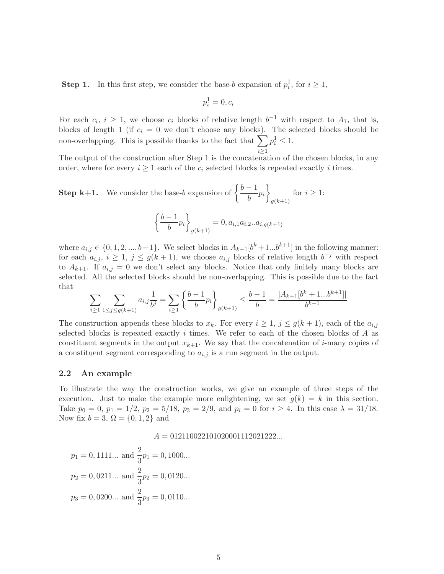**Step 1.** In this first step, we consider the base-b expansion of  $p_i^1$ , for  $i \ge 1$ ,

$$
p_i^1 = 0, c_i
$$

For each  $c_i$ ,  $i \geq 1$ , we choose  $c_i$  blocks of relative length  $b^{-1}$  with respect to  $A_1$ , that is, blocks of length 1 (if  $c_i = 0$  we don't choose any blocks). The selected blocks should be non-overlapping. This is possible thanks to the fact that  $\sum p_i^1 \leq 1$ .  $i \geq 1$ 

The output of the construction after Step 1 is the concatenation of the chosen blocks, in any order, where for every  $i \geq 1$  each of the  $c_i$  selected blocks is repeated exactly i times.

**Step k+1.** We consider the base-b expansion of  $\begin{cases} \frac{b-1}{b-1} \end{cases}$  $\left\{\frac{-1}{b}p_i\right\}$  $g(k+1)$ for  $i \geq 1$ :

$$
\left\{\frac{b-1}{b}p_i\right\}_{g(k+1)} = 0, a_{i,1}a_{i,2}...a_{i,g(k+1)}
$$

where  $a_{i,j} \in \{0, 1, 2, ..., b-1\}$ . We select blocks in  $A_{k+1}[b^k+1...b^{k+1}]$  in the following manner: for each  $a_{i,j}, i \geq 1, j \leq g(k+1)$ , we choose  $a_{i,j}$  blocks of relative length  $b^{-j}$  with respect to  $A_{k+1}$ . If  $a_{i,j} = 0$  we don't select any blocks. Notice that only finitely many blocks are selected. All the selected blocks should be non-overlapping. This is possible due to the fact that

$$
\sum_{i\geq 1}\sum_{1\leq j\leq g(k+1)}a_{i,j}\frac{1}{b^j}=\sum_{i\geq 1}\left\{\frac{b-1}{b}p_i\right\}_{g(k+1)}\leq \frac{b-1}{b}=\frac{|A_{k+1}[b^k+1...b^{k+1}]|}{b^{k+1}}
$$

The construction appends these blocks to  $x_k$ . For every  $i \geq 1$ ,  $j \leq g(k+1)$ , each of the  $a_{i,j}$ selected blocks is repeated exactly  $i$  times. We refer to each of the chosen blocks of  $A$  as constituent segments in the output  $x_{k+1}$ . We say that the concatenation of *i*-many copies of a constituent segment corresponding to  $a_{i,j}$  is a run segment in the output.

#### <span id="page-4-0"></span>2.2 An example

To illustrate the way the construction works, we give an example of three steps of the execution. Just to make the example more enlightening, we set  $g(k) = k$  in this section. Take  $p_0 = 0$ ,  $p_1 = 1/2$ ,  $p_2 = 5/18$ ,  $p_3 = 2/9$ , and  $p_i = 0$  for  $i \ge 4$ . In this case  $\lambda = 31/18$ . Now fix  $b = 3$ ,  $\Omega = \{0, 1, 2\}$  and

#### $A = 012110022101020001112021222...$

$$
p_1 = 0,1111...
$$
 and  $\frac{2}{3}p_1 = 0,1000...$   
\n $p_2 = 0,0211...$  and  $\frac{2}{3}p_2 = 0,0120...$   
\n $p_3 = 0,0200...$  and  $\frac{2}{3}p_3 = 0,0110...$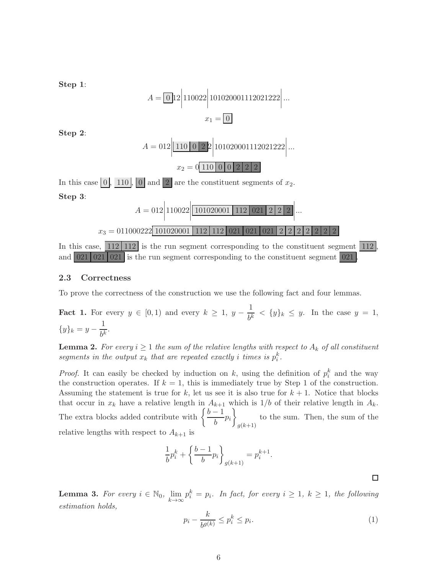Step 1:  
\n
$$
A = \boxed{0} \boxed{12} \boxed{110022} \boxed{101020001112021222} \dots
$$
\n
$$
x_1 = \boxed{0}
$$
\nStep 2:  
\n
$$
A = 012 \boxed{110 \boxed{0 \boxed{22}} \boxed{101020001112021222} \dots
$$
\n
$$
x_2 = 0 \boxed{110 \boxed{0 \boxed{0 \boxed{222}} \boxed{2}}
$$
\nIn this case 
$$
\boxed{0}
$$
, 
$$
\boxed{110}
$$
, 
$$
\boxed{0}
$$
 and 
$$
\boxed{2}
$$
 are the constituent segments of  $x_2$ .  
\nStep 3:  
\n
$$
A = 012 \boxed{110022} \boxed{101020001} \boxed{112} \boxed{021} \boxed{212} \boxed{212} \dots
$$
\n
$$
x_3 = 011000222 \boxed{101020001} \boxed{112} \boxed{112} \boxed{021} \boxed{021} \boxed{212} \boxed{222} \boxed{21}
$$
\nIn this case, 
$$
\boxed{112} \boxed{112}
$$
 is the run segment corresponding to the constituent segment  $\boxed{021}$ , and  $\boxed{021} \boxed{021} \boxed{021}$  is the run segment corresponding to the constituent segment  $\boxed{021}$ .

#### <span id="page-5-0"></span>2.3 Correctness

To prove the correctness of the construction we use the following fact and four lemmas.

<span id="page-5-2"></span>**Fact 1.** For every  $y \in [0,1)$  and every  $k \geq 1$ ,  $y - \frac{1}{k}$  $\frac{1}{b^k} < \{y\}_k \leq y$ . In the case  $y = 1$ ,  ${y}_k = y - \frac{1}{\frac{1}{k}}$  $\frac{1}{b^k}$ .

<span id="page-5-3"></span>**Lemma 2.** For every  $i \geq 1$  the sum of the relative lengths with respect to  $A_k$  of all constituent segments in the output  $x_k$  that are repeated exactly i times is  $p_i^k$ .

*Proof.* It can easily be checked by induction on k, using the definition of  $p_i^k$  and the way the construction operates. If  $k = 1$ , this is immediately true by Step 1 of the construction. Assuming the statement is true for  $k$ , let us see it is also true for  $k + 1$ . Notice that blocks that occur in  $x_k$  have a relative length in  $A_{k+1}$  which is  $1/b$  of their relative length in  $A_k$ . The extra blocks added contribute with  $\left\{\frac{b-1}{b-1}\right\}$  $\left\{\frac{-1}{b}p_i\right\}$  $g(k+1)$ to the sum. Then, the sum of the relative lengths with respect to  $A_{k+1}$  is

$$
\frac{1}{b}p_i^k + \left\{\frac{b-1}{b}p_i\right\}_{g(k+1)} = p_i^{k+1}
$$

<span id="page-5-4"></span>**Lemma 3.** For every  $i \in \mathbb{N}_0$ ,  $\lim_{k \to \infty} p_i^k = p_i$ . In fact, for every  $i \geq 1$ ,  $k \geq 1$ , the following *estimation holds,*

<span id="page-5-1"></span>
$$
p_i - \frac{k}{b^{g(k)}} \le p_i^k \le p_i. \tag{1}
$$

 $\Box$ 

.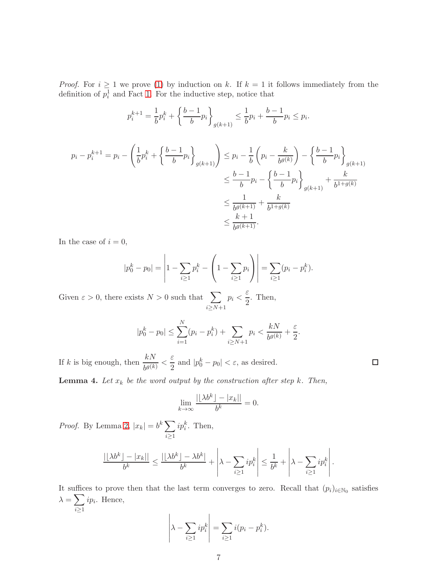*Proof.* For  $i \geq 1$  we prove [\(1\)](#page-5-1) by induction on k. If  $k = 1$  it follows immediately from the definition of  $p_i^1$  and Fact [1.](#page-5-2) For the inductive step, notice that

$$
p_i^{k+1} = \frac{1}{b} p_i^k + \left\{ \frac{b-1}{b} p_i \right\}_{g(k+1)} \le \frac{1}{b} p_i + \frac{b-1}{b} p_i \le p_i.
$$

$$
p_i - p_i^{k+1} = p_i - \left(\frac{1}{b}p_i^k + \left\{\frac{b-1}{b}p_i\right\}_{g(k+1)}\right) \le p_i - \frac{1}{b}\left(p_i - \frac{k}{b^{g(k)}}\right) - \left\{\frac{b-1}{b}p_i\right\}_{g(k+1)} \n\le \frac{b-1}{b}p_i - \left\{\frac{b-1}{b}p_i\right\}_{g(k+1)} + \frac{k}{b^{1+g(k)}} \n\le \frac{1}{b^{g(k+1)}} + \frac{k}{b^{1+g(k)}} \n\le \frac{k+1}{b^{g(k+1)}}.
$$

In the case of  $i = 0$ ,

$$
|p_0^k - p_0| = \left| 1 - \sum_{i \ge 1} p_i^k - \left( 1 - \sum_{i \ge 1} p_i \right) \right| = \sum_{i \ge 1} (p_i - p_i^k).
$$

Given  $\varepsilon > 0$ , there exists  $N > 0$  such that  $\sum$  $i \geq N+1$  $p_i < \frac{\varepsilon}{2}$  $\frac{1}{2}$ . Then,

$$
|p_0^k - p_0| \le \sum_{i=1}^N (p_i - p_i^k) + \sum_{i \ge N+1} p_i < \frac{kN}{b^{g(k)}} + \frac{\varepsilon}{2}.
$$

If k is big enough, then  $\frac{kN}{b^{g(k)}} < \frac{\varepsilon}{2}$  $\frac{\varepsilon}{2}$  and  $|p_0^k - p_0| < \varepsilon$ , as desired.

<span id="page-6-0"></span>**Lemma 4.** Let  $x_k$  be the word output by the construction after step  $k$ . Then,

$$
\lim_{k \to \infty} \frac{|\lfloor \lambda b^k \rfloor - |x_k||}{b^k} = 0.
$$

*Proof.* By Lemma [2,](#page-5-3)  $|x_k| = b^k \sum$  $i \geq 1$  $ip_i^k$ . Then,

$$
\frac{|\lfloor \lambda b^k \rfloor - |x_k||}{b^k} \le \frac{|\lfloor \lambda b^k \rfloor - \lambda b^k|}{b^k} + \left| \lambda - \sum_{i \ge 1} i p_i^k \right| \le \frac{1}{b^k} + \left| \lambda - \sum_{i \ge 1} i p_i^k \right|.
$$

It suffices to prove then that the last term converges to zero. Recall that  $(p_i)_{i \in \mathbb{N}_0}$  satisfies  $\lambda = \sum$ i≥1  $ip_i$ . Hence,  $\overline{1}$  $\overline{1}$ 

$$
\left|\lambda - \sum_{i \geq 1} ip_i^k \right| = \sum_{i \geq 1} i(p_i - p_i^k).
$$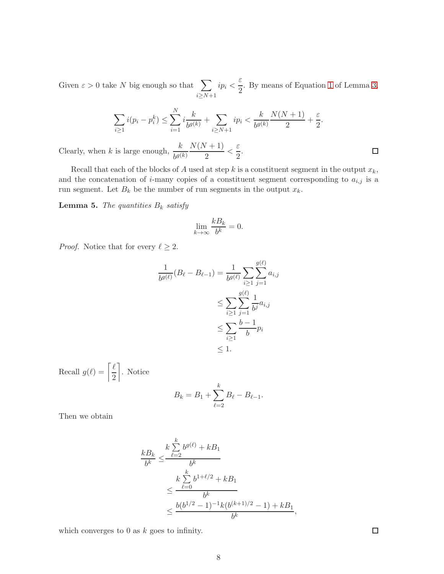Given  $\varepsilon > 0$  take N big enough so that  $\sum$  $i \geq N+1$  $ip_i < \frac{\varepsilon}{2}$  $\frac{1}{2}$ . By means of Equation [1](#page-5-1) of Lemma [3,](#page-5-4)

$$
\sum_{i\geq 1} i(p_i - p_i^k) \leq \sum_{i=1}^N i \frac{k}{b^{g(k)}} + \sum_{i\geq N+1} i p_i < \frac{k}{b^{g(k)}} \frac{N(N+1)}{2} + \frac{\varepsilon}{2}.
$$

Clearly, when k is large enough,  $\frac{k}{b^{g(k)}}$  $N(N+1)$  $\frac{7+1}{2}<\frac{\varepsilon}{2}$  $\frac{1}{2}$ .

Recall that each of the blocks of A used at step k is a constituent segment in the output  $x_k$ , and the concatenation of *i*-many copies of a constituent segment corresponding to  $a_{i,j}$  is a run segment. Let  $B_k$  be the number of run segments in the output  $x_k$ .

<span id="page-7-0"></span>**Lemma 5.** *The quantities*  $B_k$  *satisfy* 

$$
\lim_{k \to \infty} \frac{k B_k}{b^k} = 0.
$$

*Proof.* Notice that for every  $\ell \geq 2$ .

$$
\frac{1}{b^{g(\ell)}}(B_{\ell} - B_{\ell-1}) = \frac{1}{b^{g(\ell)}} \sum_{i \ge 1} \sum_{j=1}^{g(\ell)} a_{i,j} \\
\le \sum_{i \ge 1} \sum_{j=1}^{g(\ell)} \frac{1}{b^j} a_{i,j} \\
\le \sum_{i \ge 1} \frac{b-1}{b} p_i \\
\le 1.
$$

Recall  $g(\ell) = \left\lceil \frac{\ell}{2} \right\rceil$ 2 . Notice k

$$
B_k = B_1 + \sum_{\ell=2}^k B_\ell - B_{\ell-1}.
$$

Then we obtain

$$
\frac{kB_k}{b^k} \le \frac{k\sum\limits_{\ell=2}^k b^{g(\ell)} + kB_1}{b^k}
$$
  

$$
\le \frac{k\sum\limits_{\ell=0}^k b^{1+\ell/2} + kB_1}{b^k}
$$
  

$$
\le \frac{b(b^{1/2}-1)^{-1}k(b^{(k+1)/2}-1) + kB_1}{b^k},
$$

which converges to  $0$  as  $k$  goes to infinity.

 $\Box$ 

 $\Box$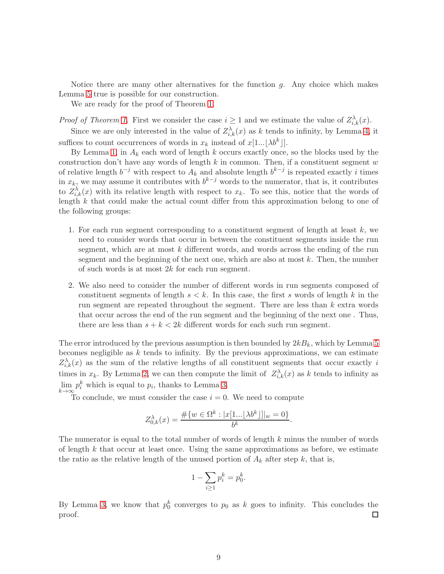Notice there are many other alternatives for the function  $q$ . Any choice which makes Lemma [5](#page-7-0) true is possible for our construction.

We are ready for the proof of Theorem [1.](#page-1-0)

*Proof of Theorem [1.](#page-1-0)* First we consider the case  $i \geq 1$  and we estimate the value of  $Z_{i,k}^{\lambda}(x)$ .

Since we are only interested in the value of  $Z_{i,k}^{\lambda}(x)$  as k tends to infinity, by Lemma [4,](#page-6-0) it suffices to count occurrences of words in  $x_k$  instead of  $x[1... \lfloor \lambda b^k \rfloor]$ .

By Lemma [1,](#page-3-2) in  $A_k$  each word of length k occurs exactly once, so the blocks used by the construction don't have any words of length  $k$  in common. Then, if a constituent segment  $w$ of relative length  $b^{-j}$  with respect to  $A_k$  and absolute length  $b^{k-j}$  is repeated exactly i times in  $x_k$ , we may assume it contributes with  $b^{k-j}$  words to the numerator, that is, it contributes to  $Z_{i,k}^{\lambda}(x)$  with its relative length with respect to  $x_k$ . To see this, notice that the words of length  $k$  that could make the actual count differ from this approximation belong to one of the following groups:

- 1. For each run segment corresponding to a constituent segment of length at least  $k$ , we need to consider words that occur in between the constituent segments inside the run segment, which are at most  $k$  different words, and words across the ending of the run segment and the beginning of the next one, which are also at most  $k$ . Then, the number of such words is at most  $2k$  for each run segment.
- 2. We also need to consider the number of different words in run segments composed of constituent segments of length  $s < k$ . In this case, the first s words of length k in the run segment are repeated throughout the segment. There are less than  $k$  extra words that occur across the end of the run segment and the beginning of the next one . Thus, there are less than  $s + k < 2k$  different words for each such run segment.

The error introduced by the previous assumption is then bounded by  $2kB_k$ , which by Lemma [5](#page-7-0) becomes negligible as  $k$  tends to infinity. By the previous approximations, we can estimate  $Z_{i,k}^{\lambda}(x)$  as the sum of the relative lengths of all constituent segments that occur exactly i times in  $x_k$ . By Lemma [2,](#page-5-3) we can then compute the limit of  $Z_{i,k}^{\lambda}(x)$  as k tends to infinity as  $\lim_{k\to\infty} p_i^k$  which is equal to  $p_i$ , thanks to Lemma [3.](#page-5-4)

To conclude, we must consider the case  $i = 0$ . We need to compute

$$
Z_{0,k}^{\lambda}(x) = \frac{\#\{w \in \Omega^k : |x[1... \lfloor \lambda b^k \rfloor]|_w = 0\}}{b^k}.
$$

The numerator is equal to the total number of words of length k minus the number of words of length  $k$  that occur at least once. Using the same approximations as before, we estimate the ratio as the relative length of the unused portion of  $A_k$  after step k, that is,

$$
1 - \sum_{i \ge 1} p_i^k = p_0^k.
$$

By Lemma [3,](#page-5-4) we know that  $p_0^k$  converges to  $p_0$  as k goes to infinity. This concludes the proof.  $\Box$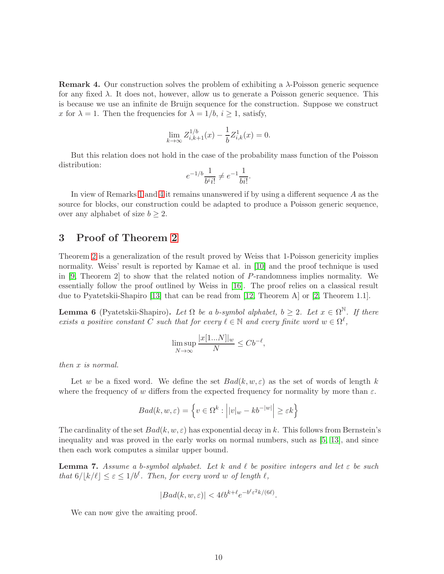<span id="page-9-1"></span>**Remark 4.** Our construction solves the problem of exhibiting a  $\lambda$ -Poisson generic sequence for any fixed  $\lambda$ . It does not, however, allow us to generate a Poisson generic sequence. This is because we use an infinite de Bruijn sequence for the construction. Suppose we construct x for  $\lambda = 1$ . Then the frequencies for  $\lambda = 1/b$ ,  $i \ge 1$ , satisfy,

$$
\lim_{k \to \infty} Z_{i,k+1}^{1/b}(x) - \frac{1}{b} Z_{i,k}^1(x) = 0.
$$

But this relation does not hold in the case of the probability mass function of the Poisson distribution:

$$
e^{-1/b} \frac{1}{b^i i!} \neq e^{-1} \frac{1}{bi!}.
$$

In view of Remarks [1](#page-2-1) and [4](#page-9-1) it remains unanswered if by using a different sequence A as the source for blocks, our construction could be adapted to produce a Poisson generic sequence, over any alphabet of size  $b \geq 2$ .

### <span id="page-9-0"></span>3 Proof of Theorem [2](#page-2-0)

Theorem [2](#page-2-0) is a generalization of the result proved by Weiss that 1-Poisson genericity implies normality. Weiss' result is reported by Kamae et al. in [\[10\]](#page-12-5) and the proof technique is used in [\[9,](#page-12-6) Theorem 2] to show that the related notion of P-randomness implies normality. We essentially follow the proof outlined by Weiss in [\[16\]](#page-12-1). The proof relies on a classical result due to Pyatetskii-Shapiro [\[13\]](#page-12-7) that can be read from [\[12,](#page-12-8) Theorem A] or [\[2,](#page-11-5) Theorem 1.1].

<span id="page-9-3"></span>**Lemma 6** (Pyatetskii-Shapiro). Let  $\Omega$  be a b-symbol alphabet,  $b \geq 2$ . Let  $x \in \Omega^{\mathbb{N}}$ . If there *exists a positive constant* C *such that for every*  $\ell \in \mathbb{N}$  *and every finite word*  $w \in \Omega^{\ell}$ ,

$$
\limsup_{N \to \infty} \frac{|x[1...N]|_w}{N} \le Cb^{-\ell},
$$

*then* x *is normal.*

Let w be a fixed word. We define the set  $Bad(k, w, \varepsilon)$  as the set of words of length k where the frequency of w differs from the expected frequency for normality by more than  $\varepsilon$ .

$$
Bad(k, w, \varepsilon) = \left\{ v \in \Omega^k : \left| |v|_w - kb^{-|w|} \right| \ge \varepsilon k \right\}
$$

The cardinality of the set  $Bad(k, w, \varepsilon)$  has exponential decay in k. This follows from Bernstein's inequality and was proved in the early works on normal numbers, such as [\[5,](#page-11-6) [13\]](#page-12-7), and since then each work computes a similar upper bound.

<span id="page-9-2"></span>Lemma 7. *Assume a* b*-symbol alphabet. Let* k *and* ℓ *be positive integers and let* ε *be such that*  $6/[\frac{k}{\ell}] \leq \varepsilon \leq 1/b^{\ell}$ . Then, for every word w of length  $\ell$ ,

$$
|Bad(k, w, \varepsilon)| < 4\ell b^{k+\ell} e^{-b^{\ell} \varepsilon^2 k/(6\ell)}.
$$

We can now give the awaiting proof.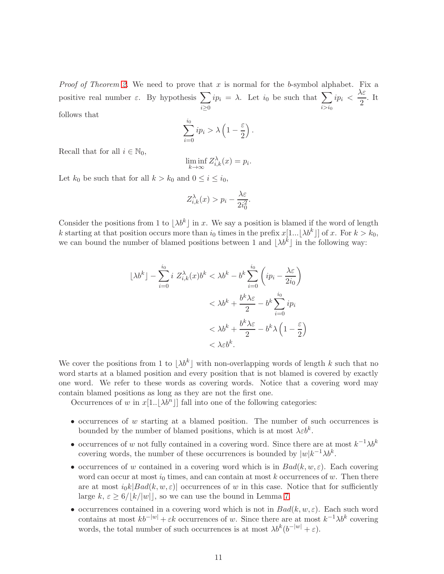*Proof of Theorem [2.](#page-2-0)* We need to prove that x is normal for the b-symbol alphabet. Fix a positive real number  $\varepsilon$ . By hypothesis  $\sum$  $i \geq 0$  $ip_i = \lambda$ . Let  $i_0$  be such that  $\sum$  $i > i<sub>0</sub>$  $ip_i \, < \, \frac{\lambda \varepsilon}{2}$  $\frac{1}{2}$ . It follows that

$$
\sum_{i=0}^{i_0} ip_i > \lambda \left(1 - \frac{\varepsilon}{2}\right).
$$

Recall that for all  $i \in \mathbb{N}_0$ ,

$$
\liminf_{k \to \infty} Z_{i,k}^{\lambda}(x) = p_i.
$$

Let  $k_0$  be such that for all  $k > k_0$  and  $0 \le i \le i_0$ ,

$$
Z_{i,k}^{\lambda}(x) > p_i - \frac{\lambda \varepsilon}{2i_0^2}.
$$

Consider the positions from 1 to  $\lambda b^k$  in x. We say a position is blamed if the word of length k starting at that position occurs more than  $i_0$  times in the prefix  $x[1... \lambda b^k]$  of x. For  $k > k_0$ , we can bound the number of blamed positions between 1 and  $\lambda b^k$  in the following way:

$$
\lfloor \lambda b^k \rfloor - \sum_{i=0}^{i_0} i \ Z_{i,k}^{\lambda}(x) b^k < \lambda b^k - b^k \sum_{i=0}^{i_0} \left( i p_i - \frac{\lambda \varepsilon}{2i_0} \right) \\
&< \lambda b^k + \frac{b^k \lambda \varepsilon}{2} - b^k \sum_{i=0}^{i_0} i p_i \\
&< \lambda b^k + \frac{b^k \lambda \varepsilon}{2} - b^k \lambda \left( 1 - \frac{\varepsilon}{2} \right) \\
&< \lambda \varepsilon b^k.
$$

We cover the positions from 1 to  $|\lambda b^k|$  with non-overlapping words of length k such that no word starts at a blamed position and every position that is not blamed is covered by exactly one word. We refer to these words as covering words. Notice that a covering word may contain blamed positions as long as they are not the first one.

Occurrences of w in  $x[1..\lfloor \lambda b^n \rfloor]$  fall into one of the following categories:

- occurrences of  $w$  starting at a blamed position. The number of such occurrences is bounded by the number of blamed positions, which is at most  $\lambda \varepsilon b^k$ .
- occurrences of w not fully contained in a covering word. Since there are at most  $k^{-1}\lambda b^k$ covering words, the number of these occurrences is bounded by  $|w|k^{-1}\lambda b^k$ .
- occurrences of w contained in a covering word which is in  $Bad(k, w, \varepsilon)$ . Each covering word can occur at most  $i_0$  times, and can contain at most k occurrences of w. Then there are at most  $i_0k|Bad(k, w, \varepsilon)|$  occurrences of w in this case. Notice that for sufficiently large  $k, \varepsilon \geq 6/|k| |w|$ , so we can use the bound in Lemma [7.](#page-9-2)
- occurrences contained in a covering word which is not in  $Bad(k, w, \varepsilon)$ . Each such word contains at most  $kb^{-|w|} + \varepsilon k$  occurrences of w. Since there are at most  $k^{-1}\lambda b^k$  covering words, the total number of such occurrences is at most  $\lambda b^{k} (b^{-|w|} + \varepsilon)$ .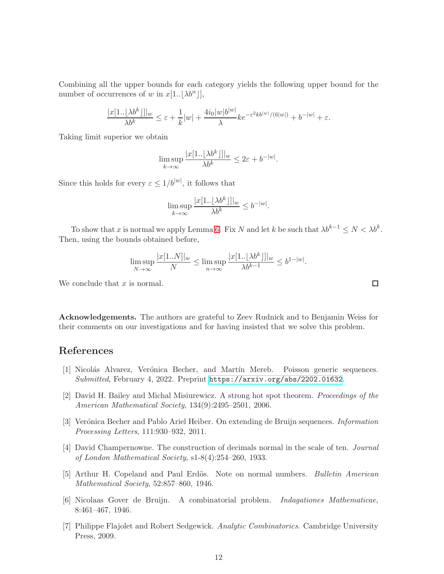Combining all the upper bounds for each category yields the following upper bound for the number of occurrences of w in  $x[1..\vert \lambda b^n \vert],$ 

$$
\frac{|x[1..\lfloor \lambda b^k\rfloor]|_w}{\lambda b^k}\leq \varepsilon+\frac{1}{k}|w|+\frac{4i_0|w|b^{|w|}}{\lambda}ke^{-\varepsilon^2kb^{|w|}/(6|w|)}+b^{-|w|}+\varepsilon.
$$

Taking limit superior we obtain

$$
\limsup_{k \to \infty} \frac{|x[1..\lfloor \lambda b^k \rfloor]|_w}{\lambda b^k} \leq 2\varepsilon + b^{-|w|}.
$$

Since this holds for every  $\varepsilon \leq 1/b^{|w|}$ , it follows that

$$
\limsup_{k \to \infty} \frac{|x[1..\lfloor \lambda b^k \rfloor]|_w}{\lambda b^k} \le b^{-|w|}.
$$

To show that x is normal we apply Lemma [6.](#page-9-3) Fix N and let k be such that  $\lambda b^{k-1} \leq N < \lambda b^k$ . Then, using the bounds obtained before,

$$
\limsup_{N \to \infty} \frac{|x[1..N]|_w}{N} \le \limsup_{n \to \infty} \frac{|x[1..\lfloor \lambda b^k \rfloor]|_w}{\lambda b^{k-1}} \le b^{1-|w|}.
$$

We conclude that  $x$  is normal.

Acknowledgements. The authors are grateful to Zeev Rudnick and to Benjamin Weiss for their comments on our investigations and for having insisted that we solve this problem.

### <span id="page-11-1"></span>References

- [1] Nicolás Alvarez, Verónica Becher, and Martín Mereb. Poisson generic sequences. *Submitted*, February 4, 2022. Preprint <https://arxiv.org/abs/2202.01632>.
- <span id="page-11-5"></span>[2] David H. Bailey and Michal Misiurewicz. A strong hot spot theorem. *Proceedings of the American Mathematical Society*, 134(9):2495–2501, 2006.
- <span id="page-11-2"></span>[3] Ver´onica Becher and Pablo Ariel Heiber. On extending de Bruijn sequences. *Information Processing Letters*, 111:930–932, 2011.
- <span id="page-11-3"></span>[4] David Champernowne. The construction of decimals normal in the scale of ten. *Journal of London Mathematical Society*, s1-8(4):254–260, 1933.
- <span id="page-11-6"></span><span id="page-11-4"></span>[5] Arthur H. Copeland and Paul Erd¨os. Note on normal numbers. *Bulletin American Mathematical Society*, 52:857–860, 1946.
- <span id="page-11-0"></span>[6] Nicolaas Gover de Bruijn. A combinatorial problem. *Indagationes Mathematicae*, 8:461–467, 1946.
- [7] Philippe Flajolet and Robert Sedgewick. *Analytic Combinatorics*. Cambridge University Press, 2009.

 $\Box$